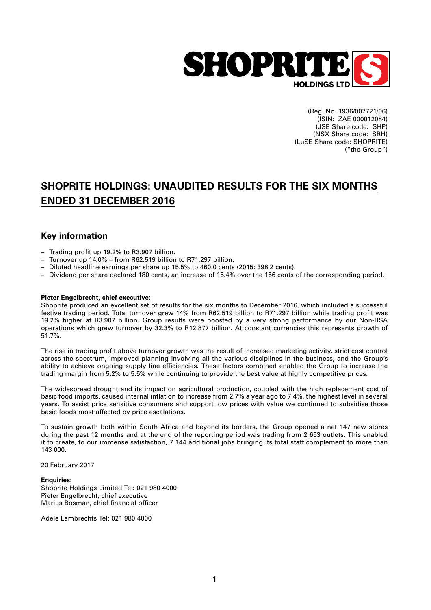

(Reg. No. 1936/007721/06) (ISIN: ZAE 000012084) (JSE Share code: SHP) (NSX Share code: SRH) (LuSE Share code: SHOPRITE) ("the Group")

# **SHOPRITE HOLDINGS: UNAUDITED RESULTS FOR THE SIX MONTHS ENDED 31 DECEMBER 2016**

## **Key information**

- Trading profit up 19.2% to R3.907 billion.
- Turnover up 14.0% from R62.519 billion to R71.297 billion.
- Diluted headline earnings per share up 15.5% to 460.0 cents (2015: 398.2 cents).
- Dividend per share declared 180 cents, an increase of 15.4% over the 156 cents of the corresponding period.

#### **Pieter Engelbrecht, chief executive:**

Shoprite produced an excellent set of results for the six months to December 2016, which included a successful festive trading period. Total turnover grew 14% from R62.519 billion to R71.297 billion while trading profit was 19.2% higher at R3.907 billion. Group results were boosted by a very strong performance by our Non-RSA operations which grew turnover by 32.3% to R12.877 billion. At constant currencies this represents growth of 51.7%.

The rise in trading profit above turnover growth was the result of increased marketing activity, strict cost control across the spectrum, improved planning involving all the various disciplines in the business, and the Group's ability to achieve ongoing supply line efficiencies. These factors combined enabled the Group to increase the trading margin from 5.2% to 5.5% while continuing to provide the best value at highly competitive prices.

The widespread drought and its impact on agricultural production, coupled with the high replacement cost of basic food imports, caused internal inflation to increase from 2.7% a year ago to 7.4%, the highest level in several years. To assist price sensitive consumers and support low prices with value we continued to subsidise those basic foods most affected by price escalations.

To sustain growth both within South Africa and beyond its borders, the Group opened a net 147 new stores during the past 12 months and at the end of the reporting period was trading from 2 653 outlets. This enabled it to create, to our immense satisfaction, 7 144 additional jobs bringing its total staff complement to more than 143 000.

20 February 2017

#### **Enquiries:**

Shoprite Holdings Limited Tel: 021 980 4000 Pieter Engelbrecht, chief executive Marius Bosman, chief financial officer

Adele Lambrechts Tel: 021 980 4000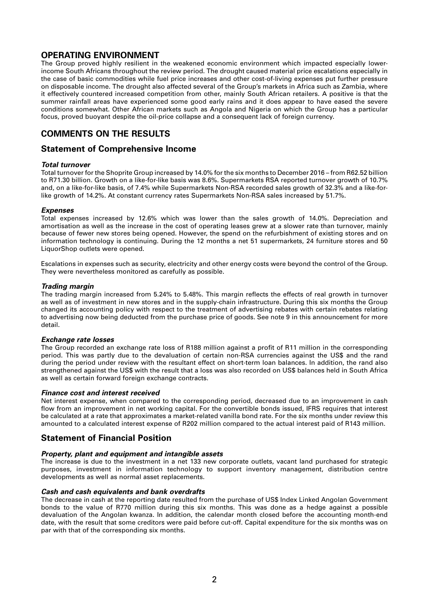## **OPERATING ENVIRONMENT**

The Group proved highly resilient in the weakened economic environment which impacted especially lowerincome South Africans throughout the review period. The drought caused material price escalations especially in the case of basic commodities while fuel price increases and other cost-of-living expenses put further pressure on disposable income. The drought also affected several of the Group's markets in Africa such as Zambia, where it effectively countered increased competition from other, mainly South African retailers. A positive is that the summer rainfall areas have experienced some good early rains and it does appear to have eased the severe conditions somewhat. Other African markets such as Angola and Nigeria on which the Group has a particular focus, proved buoyant despite the oil-price collapse and a consequent lack of foreign currency.

## **COMMENTS ON THE RESULTS**

### **Statement of Comprehensive Income**

#### *Total turnover*

Total turnover for the Shoprite Group increased by 14.0% for the six months to December 2016 – from R62.52 billion to R71.30 billion. Growth on a like-for-like basis was 8.6%. Supermarkets RSA reported turnover growth of 10.7% and, on a like-for-like basis, of 7.4% while Supermarkets Non-RSA recorded sales growth of 32.3% and a like-forlike growth of 14.2%. At constant currency rates Supermarkets Non-RSA sales increased by 51.7%.

#### *Expenses*

Total expenses increased by 12.6% which was lower than the sales growth of 14.0%. Depreciation and amortisation as well as the increase in the cost of operating leases grew at a slower rate than turnover, mainly because of fewer new stores being opened. However, the spend on the refurbishment of existing stores and on information technology is continuing. During the 12 months a net 51 supermarkets, 24 furniture stores and 50 LiquorShop outlets were opened.

Escalations in expenses such as security, electricity and other energy costs were beyond the control of the Group. They were nevertheless monitored as carefully as possible.

#### *Trading margin*

The trading margin increased from 5.24% to 5.48%. This margin reflects the effects of real growth in turnover as well as of investment in new stores and in the supply-chain infrastructure. During this six months the Group changed its accounting policy with respect to the treatment of advertising rebates with certain rebates relating to advertising now being deducted from the purchase price of goods. See note 9 in this announcement for more detail.

#### *Exchange rate losses*

The Group recorded an exchange rate loss of R188 million against a profit of R11 million in the corresponding period. This was partly due to the devaluation of certain non-RSA currencies against the US\$ and the rand during the period under review with the resultant effect on short-term loan balances. In addition, the rand also strengthened against the US\$ with the result that a loss was also recorded on US\$ balances held in South Africa as well as certain forward foreign exchange contracts.

#### *Finance cost and interest received*

Net interest expense, when compared to the corresponding period, decreased due to an improvement in cash flow from an improvement in net working capital. For the convertible bonds issued, IFRS requires that interest be calculated at a rate that approximates a market-related vanilla bond rate. For the six months under review this amounted to a calculated interest expense of R202 million compared to the actual interest paid of R143 million.

### **Statement of Financial Position**

#### *Property, plant and equipment and intangible assets*

The increase is due to the investment in a net 133 new corporate outlets, vacant land purchased for strategic purposes, investment in information technology to support inventory management, distribution centre developments as well as normal asset replacements.

#### *Cash and cash equivalents and bank overdrafts*

The decrease in cash at the reporting date resulted from the purchase of US\$ Index Linked Angolan Government bonds to the value of R770 million during this six months. This was done as a hedge against a possible devaluation of the Angolan kwanza. In addition, the calendar month closed before the accounting month-end date, with the result that some creditors were paid before cut-off. Capital expenditure for the six months was on par with that of the corresponding six months.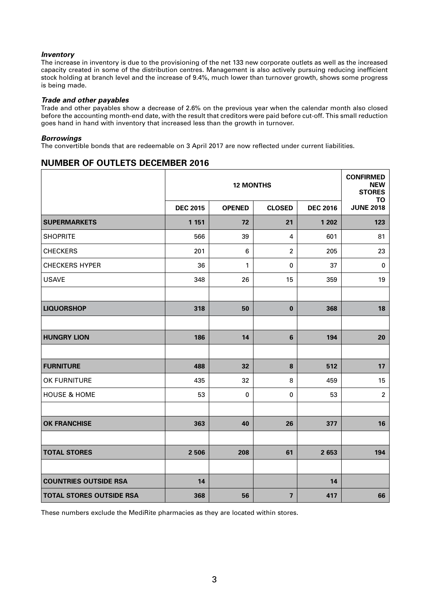### *Inventory*

The increase in inventory is due to the provisioning of the net 133 new corporate outlets as well as the increased capacity created in some of the distribution centres. Management is also actively pursuing reducing inefficient stock holding at branch level and the increase of 9.4%, much lower than turnover growth, shows some progress is being made.

#### *Trade and other payables*

Trade and other payables show a decrease of 2.6% on the previous year when the calendar month also closed before the accounting month-end date, with the result that creditors were paid before cut-off. This small reduction goes hand in hand with inventory that increased less than the growth in turnover.

#### *Borrowings*

The convertible bonds that are redeemable on 3 April 2017 are now reflected under current liabilities.

### **NUMBER OF OUTLETS DECEMBER 2016**

|                                 |                 | <b>12 MONTHS</b> |                         |                 |                               |  |  |
|---------------------------------|-----------------|------------------|-------------------------|-----------------|-------------------------------|--|--|
|                                 | <b>DEC 2015</b> | <b>OPENED</b>    | <b>CLOSED</b>           | <b>DEC 2016</b> | <b>TO</b><br><b>JUNE 2018</b> |  |  |
| <b>SUPERMARKETS</b>             | 1 1 5 1         | 72               | 21                      | 1 202           | 123                           |  |  |
| <b>SHOPRITE</b>                 | 566             | 39               | 4                       | 601             | 81                            |  |  |
| <b>CHECKERS</b>                 | 201             | 6                | $\overline{2}$          | 205             | 23                            |  |  |
| <b>CHECKERS HYPER</b>           | 36              | 1                | 0                       | 37              | $\pmb{0}$                     |  |  |
| <b>USAVE</b>                    | 348             | 26               | 15                      | 359             | 19                            |  |  |
|                                 |                 |                  |                         |                 |                               |  |  |
| <b>LIQUORSHOP</b>               | 318             | 50               | $\bf{0}$                | 368             | 18                            |  |  |
|                                 |                 |                  |                         |                 |                               |  |  |
| <b>HUNGRY LION</b>              | 186             | 14               | 6                       | 194             | 20                            |  |  |
|                                 |                 |                  |                         |                 |                               |  |  |
| <b>FURNITURE</b>                | 488             | 32               | 8                       | 512             | 17                            |  |  |
| OK FURNITURE                    | 435             | 32               | 8                       | 459             | 15                            |  |  |
| <b>HOUSE &amp; HOME</b>         | 53              | 0                | 0                       | 53              | $\boldsymbol{2}$              |  |  |
|                                 |                 |                  |                         |                 |                               |  |  |
| <b>OK FRANCHISE</b>             | 363             | 40               | 26                      | 377             | 16                            |  |  |
|                                 |                 |                  |                         |                 |                               |  |  |
| <b>TOTAL STORES</b>             | 2 5 0 6         | 208              | 61                      | 2 6 5 3         | 194                           |  |  |
|                                 |                 |                  |                         |                 |                               |  |  |
| <b>COUNTRIES OUTSIDE RSA</b>    | 14              |                  |                         | 14              |                               |  |  |
| <b>TOTAL STORES OUTSIDE RSA</b> | 368             | 56               | $\overline{\mathbf{z}}$ | 417             | 66                            |  |  |

These numbers exclude the MediRite pharmacies as they are located within stores.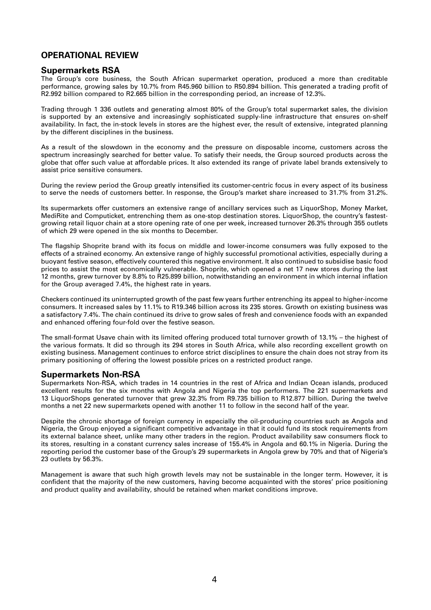## **OPERATIONAL REVIEW**

### **Supermarkets RSA**

The Group's core business, the South African supermarket operation, produced a more than creditable performance, growing sales by 10.7% from R45.960 billion to R50.894 billion. This generated a trading profit of R2.992 billion compared to R2.665 billion in the corresponding period, an increase of 12.3%.

Trading through 1 336 outlets and generating almost 80% of the Group's total supermarket sales, the division is supported by an extensive and increasingly sophisticated supply-line infrastructure that ensures on-shelf availability. In fact, the in-stock levels in stores are the highest ever, the result of extensive, integrated planning by the different disciplines in the business.

As a result of the slowdown in the economy and the pressure on disposable income, customers across the spectrum increasingly searched for better value. To satisfy their needs, the Group sourced products across the globe that offer such value at affordable prices. It also extended its range of private label brands extensively to assist price sensitive consumers.

During the review period the Group greatly intensified its customer-centric focus in every aspect of its business to serve the needs of customers better. In response, the Group's market share increased to 31.7% from 31.2%.

Its supermarkets offer customers an extensive range of ancillary services such as LiquorShop, Money Market, MediRite and Computicket, entrenching them as one-stop destination stores. LiquorShop, the country's fastestgrowing retail liquor chain at a store opening rate of one per week, increased turnover 26.3% through 355 outlets of which 29 were opened in the six months to December.

The flagship Shoprite brand with its focus on middle and lower-income consumers was fully exposed to the effects of a strained economy. An extensive range of highly successful promotional activities, especially during a buoyant festive season, effectively countered this negative environment. It also continued to subsidise basic food prices to assist the most economically vulnerable. Shoprite, which opened a net 17 new stores during the last 12 months, grew turnover by 8.8% to R25.899 billion, notwithstanding an environment in which internal inflation for the Group averaged 7.4%, the highest rate in years.

Checkers continued its uninterrupted growth of the past few years further entrenching its appeal to higher-income consumers. It increased sales by 11.1% to R19.346 billion across its 235 stores. Growth on existing business was a satisfactory 7.4%. The chain continued its drive to grow sales of fresh and convenience foods with an expanded and enhanced offering four-fold over the festive season.

The small-format Usave chain with its limited offering produced total turnover growth of 13.1% – the highest of the various formats. It did so through its 294 stores in South Africa, while also recording excellent growth on existing business. Management continues to enforce strict disciplines to ensure the chain does not stray from its primary positioning of offering the lowest possible prices on a restricted product range.

### **Supermarkets Non-RSA**

Supermarkets Non-RSA, which trades in 14 countries in the rest of Africa and Indian Ocean islands, produced excellent results for the six months with Angola and Nigeria the top performers. The 221 supermarkets and 13 LiquorShops generated turnover that grew 32.3% from R9.735 billion to R12.877 billion. During the twelve months a net 22 new supermarkets opened with another 11 to follow in the second half of the year.

Despite the chronic shortage of foreign currency in especially the oil-producing countries such as Angola and Nigeria, the Group enjoyed a significant competitive advantage in that it could fund its stock requirements from its external balance sheet, unlike many other traders in the region. Product availability saw consumers flock to its stores, resulting in a constant currency sales increase of 155.4% in Angola and 60.1% in Nigeria. During the reporting period the customer base of the Group's 29 supermarkets in Angola grew by 70% and that of Nigeria's 23 outlets by 56.3%.

Management is aware that such high growth levels may not be sustainable in the longer term. However, it is confident that the majority of the new customers, having become acquainted with the stores' price positioning and product quality and availability, should be retained when market conditions improve.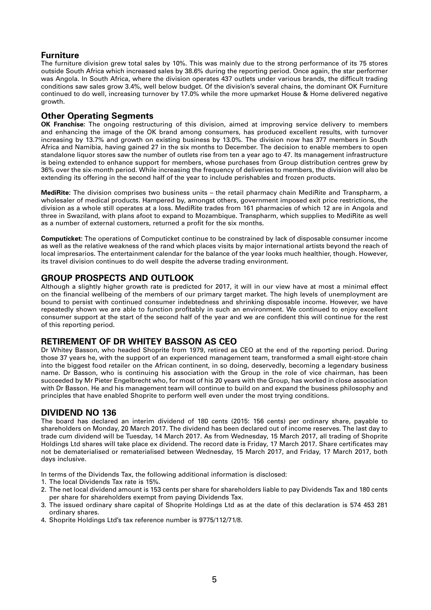## **Furniture**

The furniture division grew total sales by 10%. This was mainly due to the strong performance of its 75 stores outside South Africa which increased sales by 38.6% during the reporting period. Once again, the star performer was Angola. In South Africa, where the division operates 437 outlets under various brands, the difficult trading conditions saw sales grow 3.4%, well below budget. Of the division's several chains, the dominant OK Furniture continued to do well, increasing turnover by 17.0% while the more upmarket House & Home delivered negative growth.

### **Other Operating Segments**

**OK Franchise:** The ongoing restructuring of this division, aimed at improving service delivery to members and enhancing the image of the OK brand among consumers, has produced excellent results, with turnover increasing by 13.7% and growth on existing business by 13.0%. The division now has 377 members in South Africa and Namibia, having gained 27 in the six months to December. The decision to enable members to open standalone liquor stores saw the number of outlets rise from ten a year ago to 47. Its management infrastructure is being extended to enhance support for members, whose purchases from Group distribution centres grew by 36% over the six-month period. While increasing the frequency of deliveries to members, the division will also be extending its offering in the second half of the year to include perishables and frozen products.

**MediRite:** The division comprises two business units – the retail pharmacy chain MediRite and Transpharm, a wholesaler of medical products. Hampered by, amongst others, government imposed exit price restrictions, the division as a whole still operates at a loss. MediRite trades from 161 pharmacies of which 12 are in Angola and three in Swaziland, with plans afoot to expand to Mozambique. Transpharm, which supplies to MediRite as well as a number of external customers, returned a profit for the six months.

**Computicket:** The operations of Computicket continue to be constrained by lack of disposable consumer income as well as the relative weakness of the rand which places visits by major international artists beyond the reach of local impresarios. The entertainment calendar for the balance of the year looks much healthier, though. However, its travel division continues to do well despite the adverse trading environment.

### **GROUP PROSPECTS AND OUTLOOK**

Although a slightly higher growth rate is predicted for 2017, it will in our view have at most a minimal effect on the financial wellbeing of the members of our primary target market. The high levels of unemployment are bound to persist with continued consumer indebtedness and shrinking disposable income. However, we have repeatedly shown we are able to function profitably in such an environment. We continued to enjoy excellent consumer support at the start of the second half of the year and we are confident this will continue for the rest of this reporting period.

## **RETIREMENT OF DR WHITEY BASSON AS CEO**

Dr Whitey Basson, who headed Shoprite from 1979, retired as CEO at the end of the reporting period. During those 37 years he, with the support of an experienced management team, transformed a small eight-store chain into the biggest food retailer on the African continent, in so doing, deservedly, becoming a legendary business name. Dr Basson, who is continuing his association with the Group in the role of vice chairman, has been succeeded by Mr Pieter Engelbrecht who, for most of his 20 years with the Group, has worked in close association with Dr Basson. He and his management team will continue to build on and expand the business philosophy and principles that have enabled Shoprite to perform well even under the most trying conditions.

## **DIVIDEND NO 136**

The board has declared an interim dividend of 180 cents (2015: 156 cents) per ordinary share, payable to shareholders on Monday, 20 March 2017. The dividend has been declared out of income reserves. The last day to trade cum dividend will be Tuesday, 14 March 2017. As from Wednesday, 15 March 2017, all trading of Shoprite Holdings Ltd shares will take place ex dividend. The record date is Friday, 17 March 2017. Share certificates may not be dematerialised or rematerialised between Wednesday, 15 March 2017, and Friday, 17 March 2017, both days inclusive.

In terms of the Dividends Tax, the following additional information is disclosed:

- 1. The local Dividends Tax rate is 15%.
- 2. The net local dividend amount is 153 cents per share for shareholders liable to pay Dividends Tax and 180 cents per share for shareholders exempt from paying Dividends Tax.
- 3. The issued ordinary share capital of Shoprite Holdings Ltd as at the date of this declaration is 574 453 281 ordinary shares.
- 4. Shoprite Holdings Ltd's tax reference number is 9775/112/71/8.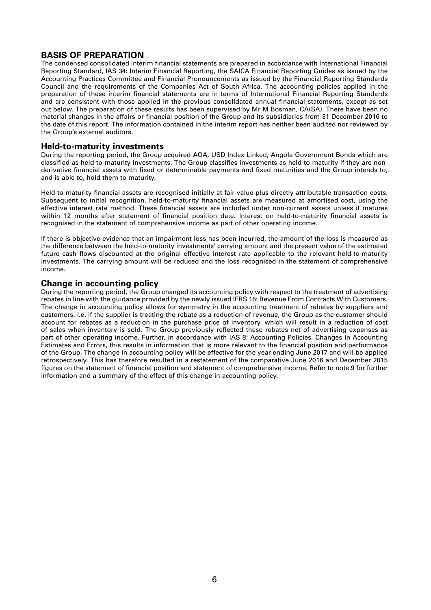## **BASIS OF PREPARATION**

The condensed consolidated interim financial statements are prepared in accordance with International Financial Reporting Standard, IAS 34: Interim Financial Reporting, the SAICA Financial Reporting Guides as issued by the Accounting Practices Committee and Financial Pronouncements as issued by the Financial Reporting Standards Council and the requirements of the Companies Act of South Africa. The accounting policies applied in the preparation of these interim financial statements are in terms of International Financial Reporting Standards and are consistent with those applied in the previous consolidated annual financial statements, except as set out below. The preparation of these results has been supervised by Mr M Bosman, CA(SA). There have been no material changes in the affairs or financial position of the Group and its subsidiaries from 31 December 2016 to the date of this report. The information contained in the interim report has neither been audited nor reviewed by the Group's external auditors.

### **Held-to-maturity investments**

During the reporting period, the Group acquired AOA, USD Index Linked, Angola Government Bonds which are classified as held-to-maturity investments. The Group classifies investments as held-to-maturity if they are nonderivative financial assets with fixed or determinable payments and fixed maturities and the Group intends to, and is able to, hold them to maturity.

Held-to-maturity financial assets are recognised initially at fair value plus directly attributable transaction costs. Subsequent to initial recognition, held-to-maturity financial assets are measured at amortised cost, using the effective interest rate method. These financial assets are included under non-current assets unless it matures within 12 months after statement of financial position date. Interest on held-to-maturity financial assets is recognised in the statement of comprehensive income as part of other operating income.

If there is objective evidence that an impairment loss has been incurred, the amount of the loss is measured as the difference between the held-to-maturity investments' carrying amount and the present value of the estimated future cash flows discounted at the original effective interest rate applicable to the relevant held-to-maturity investments. The carrying amount will be reduced and the loss recognised in the statement of comprehensive income.

### **Change in accounting policy**

During the reporting period, the Group changed its accounting policy with respect to the treatment of advertising rebates in line with the guidance provided by the newly issued IFRS 15: Revenue From Contracts With Customers. The change in accounting policy allows for symmetry in the accounting treatment of rebates by suppliers and customers, i.e. if the supplier is treating the rebate as a reduction of revenue, the Group as the customer should account for rebates as a reduction in the purchase price of inventory, which will result in a reduction of cost of sales when inventory is sold. The Group previously reflected these rebates net of advertising expenses as part of other operating income. Further, in accordance with IAS 8: Accounting Policies, Changes in Accounting Estimates and Errors, this results in information that is more relevant to the financial position and performance of the Group. The change in accounting policy will be effective for the year ending June 2017 and will be applied retrospectively. This has therefore resulted in a restatement of the comparative June 2016 and December 2015 figures on the statement of financial position and statement of comprehensive income. Refer to note 9 for further information and a summary of the effect of this change in accounting policy.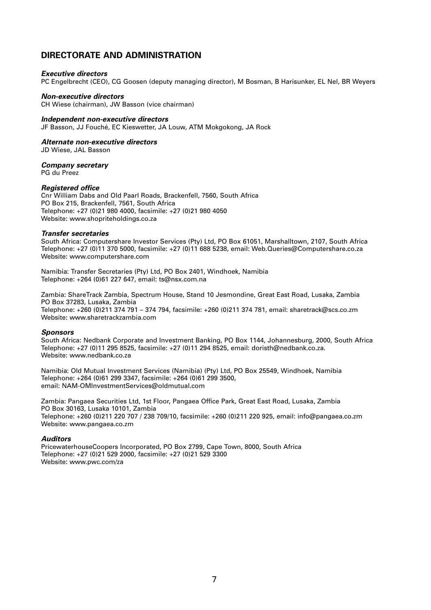## **DIRECTORATE AND ADMINISTRATION**

#### *Executive directors*

PC Engelbrecht (CEO), CG Goosen (deputy managing director), M Bosman, B Harisunker, EL Nel, BR Weyers

#### *Non-executive directors*

CH Wiese (chairman), JW Basson (vice chairman)

#### *Independent non-executive directors*

JF Basson, JJ Fouché, EC Kieswetter, JA Louw, ATM Mokgokong, JA Rock

#### *Alternate non-executive directors*

JD Wiese, JAL Basson

*Company secretary*

PG du Preez

#### *Registered office*

Cnr William Dabs and Old Paarl Roads, Brackenfell, 7560, South Africa PO Box 215, Brackenfell, 7561, South Africa Telephone: +27 (0)21 980 4000, facsimile: +27 (0)21 980 4050 Website: [www.shopriteholdings.co.za](http://www.shopriteholdings.co.za)

#### *Transfer secretaries*

South Africa: Computershare Investor Services (Pty) Ltd, PO Box 61051, Marshalltown, 2107, South Africa Telephone: +27 (0)11 370 5000, facsimile: +27 (0)11 688 5238, email: [Web.Queries@Computershare.co.za](mailto:Web.Queries@Computershare.co.za) Website: [www.computershare.com](http://www.computershare.com)

Namibia: Transfer Secretaries (Pty) Ltd, PO Box 2401, Windhoek, Namibia Telephone: +264 (0)61 227 647, email: [ts@nsx.com.na](mailto:ts@nsx.com.na)

Zambia: ShareTrack Zambia, Spectrum House, Stand 10 Jesmondine, Great East Road, Lusaka, Zambia PO Box 37283, Lusaka, Zambia Telephone: +260 (0)211 374 791 – 374 794, facsimile: +260 (0)211 374 781, email: [sharetrack@scs.co.zm](mailto:sharetrack@scs.co.zm)  Website: [www.sharetrackzambia.com](http://www.sharetrackzambia.com)

#### *Sponsors*

South Africa: Nedbank Corporate and Investment Banking, PO Box 1144, Johannesburg, 2000, South Africa Telephone: +27 (0)11 295 8525, facsimile: +27 (0)11 294 8525, email: [doristh@nedbank.co.za](mailto:doristh@nedbank.co.za). Website: [www.nedbank.co.za](http://www.nedbank.co.za)

Namibia: Old Mutual Investment Services (Namibia) (Pty) Ltd, PO Box 25549, Windhoek, Namibia Telephone: +264 (0)61 299 3347, facsimile: +264 (0)61 299 3500, email: [NAM-OMInvestmentServices@oldmutual.com](mailto:NAM-OMlnvestmentServices@oldmutual.com)

Zambia: Pangaea Securities Ltd, 1st Floor, Pangaea Office Park, Great East Road, Lusaka, Zambia PO Box 30163, Lusaka 10101, Zambia Telephone: +260 (0)211 220 707 / 238 709/10, facsimile: +260 (0)211 220 925, email: [info@pangaea.co.zm](mailto:info@pangaea.co.zm)  Website: [www.pangaea.co.zm](http://www.pangaea.co.zm) 

#### *Auditors*

PricewaterhouseCoopers Incorporated, PO Box 2799, Cape Town, 8000, South Africa Telephone: +27 (0)21 529 2000, facsimile: +27 (0)21 529 3300 Website: [www.pwc.com/za](http://www.pwc.com/za)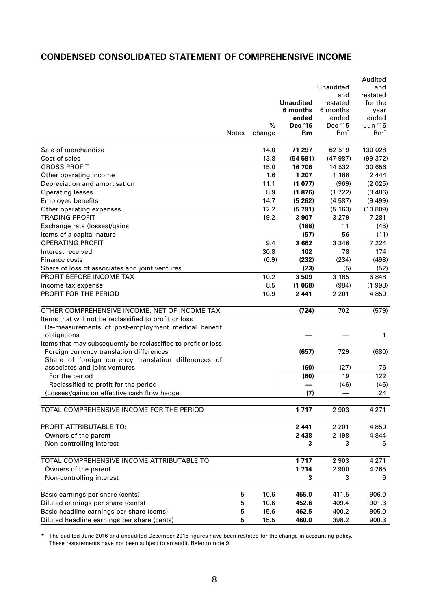## **CONDENSED CONSOLIDATED STATEMENT OF COMPREHENSIVE INCOME**

|                                                               |              |        |                    |                   | Audited            |
|---------------------------------------------------------------|--------------|--------|--------------------|-------------------|--------------------|
|                                                               |              |        |                    | Unaudited         | and                |
|                                                               |              |        |                    | and               | restated           |
|                                                               |              |        | <b>Unaudited</b>   | restated          | for the            |
|                                                               |              |        | 6 months           | 6 months          | year               |
|                                                               |              |        | ended              | ended             | ended              |
|                                                               |              | $\%$   | <b>Dec '16</b>     | Dec '15           | Jun '16            |
|                                                               | <b>Notes</b> | change | Rm                 | $Rm^*$            | $Rm^*$             |
| Sale of merchandise                                           |              | 14.0   | 71 297             | 62 519            | 130 028            |
| Cost of sales                                                 |              | 13.8   |                    |                   |                    |
| <b>GROSS PROFIT</b>                                           |              |        | (54 591)<br>16 706 | (47987)<br>14 532 | (99 372)<br>30 656 |
|                                                               |              | 15.0   |                    |                   |                    |
| Other operating income                                        |              | 1.6    | 1 207              | 1 1 8 8           | 2 4 4 4            |
| Depreciation and amortisation                                 |              | 11.1   | (1077)             | (969)             | (2 025)            |
| <b>Operating leases</b>                                       |              | 8.9    | (1876)             | (1722)            | (3, 486)           |
| <b>Employee benefits</b>                                      |              | 14.7   | (5262)             | (4587)            | (9499)             |
| Other operating expenses                                      |              | 12.2   | (5791)             | (5 163)           | (10809)            |
| <b>TRADING PROFIT</b>                                         |              | 19.2   | 3 9 0 7            | 3 2 7 9           | 7 2 8 1            |
| Exchange rate (losses)/gains                                  |              |        | (188)              | 11                | (46)               |
| Items of a capital nature                                     |              |        | (57)               | 56                | (11)               |
| <b>OPERATING PROFIT</b>                                       |              | 9.4    | 3 6 6 2            | 3 3 4 6           | 7 2 2 4            |
| Interest received                                             |              | 30.8   | 102                | 78                | 174                |
| Finance costs                                                 |              | (0.9)  | (232)              | (234)             | (498)              |
| Share of loss of associates and joint ventures                |              |        | (23)               | (5)               | (52)               |
| PROFIT BEFORE INCOME TAX                                      |              | 10.2   | 3 5 0 9            | 3 185             | 6848               |
| Income tax expense                                            |              | 8.5    | (1068)             | (984)             | (1998)             |
| PROFIT FOR THE PERIOD                                         |              | 10.9   | 2 4 4 1            | 2 2 0 1           | 4 8 5 0            |
|                                                               |              |        |                    |                   |                    |
| OTHER COMPREHENSIVE INCOME, NET OF INCOME TAX                 |              |        | (724)              | 702               | (579)              |
| Items that will not be reclassified to profit or loss         |              |        |                    |                   |                    |
| Re-measurements of post-employment medical benefit            |              |        |                    |                   |                    |
| obligations                                                   |              |        |                    |                   | 1                  |
| Items that may subsequently be reclassified to profit or loss |              |        |                    |                   |                    |
| Foreign currency translation differences                      |              |        | (657)              | 729               | (680)              |
| Share of foreign currency translation differences of          |              |        |                    |                   |                    |
| associates and joint ventures                                 |              |        | (60)               | (27)              | 76                 |
| For the period                                                |              |        | (60)               | 19                | 122                |
| Reclassified to profit for the period                         |              |        |                    | (46)              | (46)               |
| (Losses)/gains on effective cash flow hedge                   |              |        | (7)                |                   | 24                 |
|                                                               |              |        |                    |                   |                    |
| TOTAL COMPREHENSIVE INCOME FOR THE PERIOD                     |              |        | 1717               | 2 9 0 3           | 4 2 7 1            |
|                                                               |              |        |                    |                   |                    |
| PROFIT ATTRIBUTABLE TO:                                       |              |        | 2 4 4 1            | 2 2 0 1           | 4 8 5 0            |
| Owners of the parent                                          |              |        | 2 4 3 8            | 2 198             | 4 8 4 4            |
| Non-controlling interest                                      |              |        | 3                  | 3                 | 6                  |
| TOTAL COMPREHENSIVE INCOME ATTRIBUTABLE TO:                   |              |        | 1717               | 2 9 0 3           | 4 2 7 1            |
| Owners of the parent                                          |              |        | 1 7 1 4            | 2 9 0 0           | 4 2 6 5            |
|                                                               |              |        |                    |                   |                    |
| Non-controlling interest                                      |              |        | 3                  | 3                 | 6                  |
| Basic earnings per share (cents)                              | 5            | 10.6   | 455.0              | 411.5             | 906.0              |
| Diluted earnings per share (cents)                            | 5            | 10.6   | 452.6              | 409.4             | 901.3              |
| Basic headline earnings per share (cents)                     | 5            | 15.6   | 462.5              | 400.2             | 905.0              |
| Diluted headline earnings per share (cents)                   | 5            | 15.5   | 460.0              | 398.2             | 900.3              |
|                                                               |              |        |                    |                   |                    |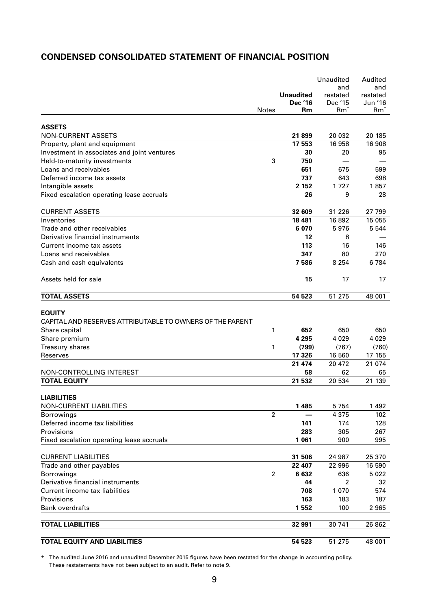## **CONDENSED CONSOLIDATED STATEMENT OF FINANCIAL POSITION**

|                                                           |                |                                    | Unaudited           | Audited             |
|-----------------------------------------------------------|----------------|------------------------------------|---------------------|---------------------|
|                                                           |                |                                    | and                 | and                 |
|                                                           |                | <b>Unaudited</b><br><b>Dec '16</b> | restated<br>Dec '15 | restated<br>Jun '16 |
|                                                           | <b>Notes</b>   | Rm                                 | $Rm^*$              | $Rm^*$              |
|                                                           |                |                                    |                     |                     |
| <b>ASSETS</b>                                             |                |                                    |                     |                     |
| <b>NON-CURRENT ASSETS</b>                                 |                | 21899                              | 20 032              | 20 185              |
| Property, plant and equipment                             |                | 17 553                             | 16 958              | 16 908              |
| Investment in associates and joint ventures               |                | 30                                 | 20                  | 95                  |
| Held-to-maturity investments                              | 3              | 750                                |                     |                     |
| Loans and receivables                                     |                | 651                                | 675                 | 599                 |
| Deferred income tax assets                                |                | 737                                | 643                 | 698                 |
| Intangible assets                                         |                | 2 1 5 2                            | 1727                | 1857                |
| Fixed escalation operating lease accruals                 |                | 26                                 | 9                   | 28                  |
|                                                           |                |                                    |                     |                     |
| <b>CURRENT ASSETS</b>                                     |                | 32 609                             | 31 2 26             | 27 799              |
| Inventories                                               |                | 18 481                             | 16 892              | 15 055              |
| Trade and other receivables                               |                | 6 0 7 0                            | 5976                | 5 5 4 4             |
| Derivative financial instruments                          |                | 12                                 | 8                   |                     |
| Current income tax assets                                 |                | 113                                | 16                  | 146                 |
| Loans and receivables                                     |                | 347                                | 80                  | 270                 |
| Cash and cash equivalents                                 |                | 7586                               | 8 2 5 4             | 6784                |
| Assets held for sale                                      |                | 15                                 | 17                  | 17                  |
| <b>TOTAL ASSETS</b>                                       |                | 54 523                             | 51 275              | 48 001              |
| <b>EQUITY</b>                                             |                |                                    |                     |                     |
| CAPITAL AND RESERVES ATTRIBUTABLE TO OWNERS OF THE PARENT |                |                                    |                     |                     |
| Share capital                                             | 1              | 652                                | 650                 | 650                 |
| Share premium                                             |                | 4 2 9 5                            | 4 0 2 9             | 4 0 2 9             |
| <b>Treasury shares</b>                                    | 1              | (799)                              | (767)               | (760)               |
| Reserves                                                  |                | 17 326                             | 16 560              | 17 155              |
|                                                           |                | 21 474                             | 20 472              | 21 074              |
| NON-CONTROLLING INTEREST                                  |                | 58                                 | 62                  | 65                  |
| <b>TOTAL EQUITY</b>                                       |                | 21 532                             | 20 534              | 21 139              |
|                                                           |                |                                    |                     |                     |
| <b>LIABILITIES</b>                                        |                |                                    |                     |                     |
| <b>NON-CURRENT LIABILITIES</b>                            |                | 1 4 8 5                            | 5 7 5 4             | 1 4 9 2             |
| <b>Borrowings</b>                                         | $\overline{2}$ |                                    | 4 3 7 5             | 102                 |
| Deferred income tax liabilities                           |                | 141                                | 174                 | 128                 |
| Provisions                                                |                | 283                                | 305                 | 267                 |
| Fixed escalation operating lease accruals                 |                | 1 0 6 1                            | 900                 | 995                 |
|                                                           |                |                                    |                     |                     |
| <b>CURRENT LIABILITIES</b>                                |                | 31 506                             | 24 987              | 25 370              |
| Trade and other payables                                  |                | 22 407                             | 22 996              | 16 590              |
| <b>Borrowings</b>                                         | 2              | 6632                               | 636                 | 5 0 2 2             |
| Derivative financial instruments                          |                | 44                                 | $\overline{2}$      | 32                  |
| Current income tax liabilities                            |                | 708                                | 1 0 7 0             | 574                 |
| Provisions                                                |                | 163                                | 183                 | 187                 |
| <b>Bank overdrafts</b>                                    |                | 1 5 5 2                            | 100                 | 2 9 6 5             |
| <b>TOTAL LIABILITIES</b>                                  |                | 32 991                             | 30 741              | 26 862              |
|                                                           |                |                                    |                     |                     |
| <b>TOTAL EQUITY AND LIABILITIES</b>                       |                | 54 523                             | 51 275              | 48 001              |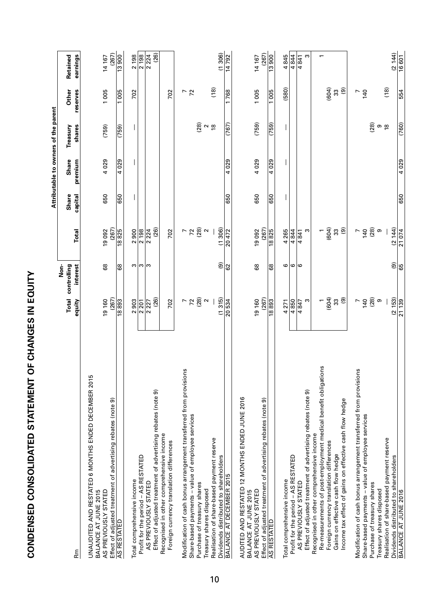| ׇ֠<br>.<br>י |  |
|--------------|--|
|              |  |
|              |  |
|              |  |

| <b>COMDENSED CONSOLIDATED STATEMENT</b>                                                                        | ニコンコ NI のコワNIYにつ            |                                 |                            |                         |                                      |                           |                        |                          |
|----------------------------------------------------------------------------------------------------------------|-----------------------------|---------------------------------|----------------------------|-------------------------|--------------------------------------|---------------------------|------------------------|--------------------------|
|                                                                                                                |                             |                                 |                            |                         | Attributable to owners of the parent |                           |                        |                          |
| Rm<br>ه                                                                                                        | Total<br>equity             | Non-<br>controlling<br>interest | Total                      | <b>Share</b><br>capital | Share<br>premium                     | shares<br>Treasury        | Other<br>reserves      | earnings<br>Retained     |
| UNAUDITED AND RESTATED 6 MONTHS ENDED DECEMBER 2015<br>AS PREVIOUSLY STATED<br>BALANCE AT JUNE 2015            | 19 160                      | 8                               | 19092                      | 650                     | 4029                                 | (759)                     | 1005                   | 14 167                   |
| Effect of adjusted treatment of advertising rebates (note 9)<br>AS RESTATED                                    | (267)<br>18893              | 8                               | (267)<br>$\frac{18825}{ }$ | 650                     | 4029                                 | (759)                     | 1005                   | (267)<br>13900           |
| Total comprehensive income                                                                                     | 2903                        | S                               | 2900                       |                         |                                      |                           | 702                    | 2 198                    |
| Profit for the period - AS RESTATED                                                                            | $\overline{2201}$           | ო ო                             | 2 198                      |                         |                                      |                           |                        | 2 198                    |
| Effect of adjusted treatment of advertising rebates (note 9)<br>AS PREVIOUSLY STATED                           | (26)<br>$\frac{227}{ }$     |                                 | (26)<br>$\frac{224}{ }$    |                         |                                      |                           |                        | (26)<br>224              |
| Recognised in other comprehensive income<br>Foreign currency translation differences                           | 702                         |                                 | 702                        |                         |                                      |                           | 702                    |                          |
| ဖ<br>Modification of cash bonus arrangement transferred from provision                                         |                             |                                 |                            |                         |                                      |                           | $\frac{7}{2}$          |                          |
| Share-based payments - value of employee services<br>Purchase of treasury shares                               | $-280$                      |                                 | $-780$ $^{\circ}$          |                         |                                      | (28)                      |                        |                          |
| Treasury shares disposed                                                                                       |                             |                                 |                            |                         |                                      |                           |                        |                          |
| Realisation of share-based payment reserve                                                                     |                             |                                 |                            |                         |                                      | $\sim$ $\frac{\infty}{2}$ | (18)                   |                          |
| Dividends distributed to shareholders<br>BALANCE AT DECEMBER 2015                                              | (1315)<br>$\frac{20534}{ }$ | $\widehat{\mathbf{e}}$<br>ဥ     | (1306)<br>20472            | 650                     | $\frac{620}{40}$                     | (767)                     | 768<br>$\overline{ }$  | (1306)<br>14792          |
|                                                                                                                |                             |                                 |                            |                         |                                      |                           |                        |                          |
| AUDITED AND RESTATED 12 MONTHS ENDED JUNE 2016<br>BALANCE AT JUNE 2015                                         |                             |                                 |                            |                         |                                      |                           |                        |                          |
| Effect of adjusted treatment of advertising rebates (note 9)<br>AS PREVIOUSLY STATED                           | (267)<br>19 160             | 89                              | (267)<br>19092             | 650                     | 4029                                 | (759)                     | 1005                   | (267)<br>14 167          |
| <b>AS RESTATED</b>                                                                                             | 18893                       | န္တ                             | 18825                      | 650                     | 4 029                                | $\frac{1}{(759)}$         | $\frac{1005}{1005}$    | $\frac{00661}{13000}$    |
| Total comprehensive income                                                                                     | 4271                        | ဖ                               | 4265                       |                         |                                      |                           | (580)                  | 4845                     |
| Profit for the period - AS RESTATED                                                                            | 4850                        | ဖ                               | $\frac{4844}{)}$           |                         |                                      |                           |                        | $\frac{4844}{$           |
| Effect of adjusted treatment of advertising rebates (note 9)<br>AS PREVIOUSLY STATED                           | S<br>4847                   | ဖ                               | ო<br>4841                  |                         |                                      |                           |                        | 4841<br>S                |
| Recognised in other comprehensive income                                                                       | $\overline{ }$              |                                 | $\overline{ }$             |                         |                                      |                           |                        | $\overline{\phantom{0}}$ |
| SU<br>Re-measurements of post-employment medical benefit obligatio<br>Foreign currency translation differences | (604)                       |                                 | (604)                      |                         |                                      |                           | (604)                  |                          |
| Gains on effective cash flow hedge                                                                             | 33                          |                                 | $33\,$                     |                         |                                      |                           | $33\,$                 |                          |
| Income tax effect of gains on effective cash flow hedge                                                        | $\circledcirc$              |                                 | $\circledcirc$             |                         |                                      |                           | $\widehat{\mathbf{e}}$ |                          |
| w<br>Modification of cash bonus arrangement transferred from provision                                         | L                           |                                 | $\overline{ }$             |                         |                                      |                           | $\overline{ }$         |                          |
| Share-based payments - value of employee services                                                              | 140                         |                                 | <b>140</b><br>(28)         |                         |                                      |                           | $\frac{40}{2}$         |                          |
| Purchase of treasury shares<br>Treasury shares disposed                                                        | (28)<br>თ                   |                                 | თ                          |                         |                                      | (28)                      |                        |                          |
| Realisation of share-based payment reserve                                                                     |                             |                                 |                            |                         |                                      | თ <u>ლ</u>                | (18)                   |                          |
| Dividends distributed to shareholders                                                                          | (2153)                      | $\widehat{\mathbf{e}}$          | (2144)                     |                         |                                      |                           |                        | (2144)                   |
| <b>BALANCE AT JUNE 2016</b>                                                                                    | 21 139                      | 65                              | 21074                      | 650                     | 4 0 29                               | (760)                     | 554                    | 16601                    |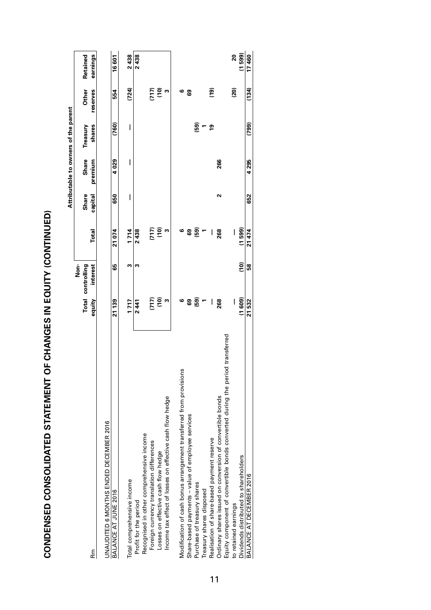CONDENSED CONSOLIDATED STATEMENT OF CHANGES IN EQUITY (CONTINUED) **CONDENSED CONSOLIDATED STATEMENT OF CHANGES IN EQUITY (CONTINUED)**

|                                                                               |                                                |                |                                                |         | Attributable to owners of the parent |                  |                 |          |
|-------------------------------------------------------------------------------|------------------------------------------------|----------------|------------------------------------------------|---------|--------------------------------------|------------------|-----------------|----------|
|                                                                               |                                                | Non-           |                                                |         |                                      |                  |                 |          |
|                                                                               | <b>Total</b>                                   | controlling    |                                                | Share   | Share                                | Treasury         | Other           | Retained |
| Rm<br>ه                                                                       | equity                                         | interest       | Total                                          | capital | premium                              | shares           | reserves        | earnings |
| UNAUDITED 6 MONTHS ENDED DECEMBER 2016                                        |                                                |                |                                                |         |                                      |                  |                 |          |
| BALANCE AT JUNE 2016                                                          | 21139                                          | ෂි             | 21074                                          | 650     | 4029                                 | (760)            | 554             | 16 601   |
| Total comprehensive income                                                    | 1717                                           | w              | 1714                                           | I       | I                                    | I                | (724)           | 2438     |
| Profit for the period                                                         | 2441                                           | m              | 2438                                           |         |                                      |                  |                 | 2438     |
| Recognised in other comprehensive income                                      |                                                |                |                                                |         |                                      |                  |                 |          |
| Foreign currency translation differences                                      |                                                |                |                                                |         |                                      |                  |                 |          |
| Losses on effective cash flow hedge                                           | $\begin{pmatrix} 1 & 0 \\ 0 & 1 \end{pmatrix}$ |                | $\begin{pmatrix} 1 & 0 \\ 0 & 1 \end{pmatrix}$ |         |                                      |                  | (10)            |          |
| Income tax effect of losses on effective cash flow hedge                      | S                                              |                | c                                              |         |                                      |                  | m               |          |
| Modification of cash bonus arrangement transferred from provisions            | ဖ                                              |                | ဖ                                              |         |                                      |                  | ဖ               |          |
| Share-based payments - value of employee services                             | ෂි                                             |                | ෂි                                             |         |                                      |                  | ශී              |          |
| Purchase of treasury shares                                                   | (59)                                           |                | (59)                                           |         |                                      | (59)             |                 |          |
| Treasury shares disposed                                                      |                                                |                |                                                |         |                                      |                  |                 |          |
| Realisation of share-based payment reserve                                    | I                                              |                | ı                                              |         |                                      | <b><u>19</u></b> | ຼື              |          |
| Ordinary shares issued on conversion of convertible bonds                     | 268                                            |                | 268                                            | 2       | 266                                  |                  |                 |          |
| Equity component of convertible bonds converted during the period transferred |                                                |                |                                                |         |                                      |                  |                 |          |
| to retained earnings                                                          | I                                              |                |                                                |         |                                      |                  | $\overline{20}$ | 20       |
| Dividends distributed to shareholders                                         | (1609)                                         | $\overline{c}$ | (1599)                                         |         |                                      |                  |                 | (1599)   |
| BALANCE AT DECEMBER 2016                                                      | 21532                                          | 58             | 21474                                          | 652     | 4295                                 | (799)            | (134)           | 17460    |
|                                                                               |                                                |                |                                                |         |                                      |                  |                 |          |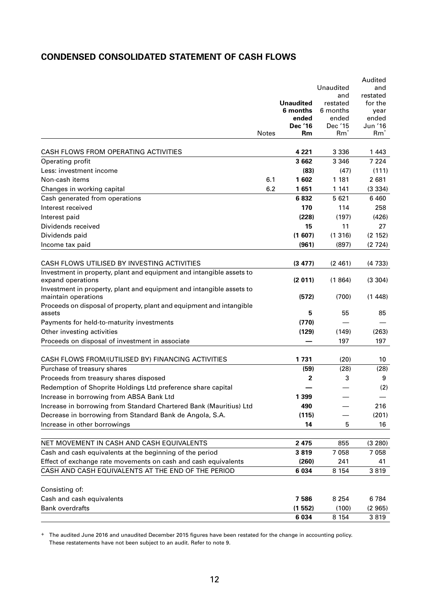## **CONDENSED CONSOLIDATED STATEMENT OF CASH FLOWS**

|                                                                                             |       |                              |                      | Audited         |
|---------------------------------------------------------------------------------------------|-------|------------------------------|----------------------|-----------------|
|                                                                                             |       |                              | Unaudited            | and             |
|                                                                                             |       |                              | and                  | restated        |
|                                                                                             |       | <b>Unaudited</b><br>6 months | restated<br>6 months | for the<br>year |
|                                                                                             |       | ended                        | ended                | ended           |
|                                                                                             |       | Dec '16                      | Dec '15              | Jun '16         |
|                                                                                             | Notes | Rm                           | $Rm^*$               | $Rm^*$          |
|                                                                                             |       |                              |                      |                 |
| CASH FLOWS FROM OPERATING ACTIVITIES                                                        |       | 4 2 2 1                      | 3 3 3 6              | 1443            |
| Operating profit                                                                            |       | 3 6 6 2                      | 3 3 4 6              | 7 2 2 4         |
| Less: investment income                                                                     |       | (83)                         | (47)                 | (111)           |
| Non-cash items                                                                              | 6.1   | 1602                         | 1 1 8 1              | 2681            |
| Changes in working capital                                                                  | 6.2   | 1651                         | 1 1 4 1              | (3334)          |
| Cash generated from operations                                                              |       | 6832                         | 5 6 2 1              | 6 4 6 0         |
| Interest received                                                                           |       | 170                          | 114                  | 258             |
| Interest paid                                                                               |       | (228)                        | (197)                | (426)           |
| Dividends received                                                                          |       | 15                           | 11                   | 27              |
| Dividends paid                                                                              |       | (1607)                       | (1316)               | (2 152)         |
| Income tax paid                                                                             |       | (961)                        | (897)                | (2724)          |
|                                                                                             |       |                              |                      |                 |
| CASH FLOWS UTILISED BY INVESTING ACTIVITIES                                                 |       | (3 477)                      | (2461)               | (4733)          |
| Investment in property, plant and equipment and intangible assets to<br>expand operations   |       | (2 011)                      | (1864)               | (3 304)         |
| Investment in property, plant and equipment and intangible assets to<br>maintain operations |       | (572)                        | (700)                | (1448)          |
| Proceeds on disposal of property, plant and equipment and intangible<br>assets              |       | 5                            | 55                   | 85              |
| Payments for held-to-maturity investments                                                   |       | (770)                        |                      |                 |
| Other investing activities                                                                  |       | (129)                        | (149)                | (263)           |
| Proceeds on disposal of investment in associate                                             |       |                              | 197                  | 197             |
|                                                                                             |       |                              |                      |                 |
| CASH FLOWS FROM/(UTILISED BY) FINANCING ACTIVITIES                                          |       | 1731                         | (20)                 | 10              |
| Purchase of treasury shares                                                                 |       | (59)                         | (28)                 | (28)            |
| Proceeds from treasury shares disposed                                                      |       | 2                            | 3                    | 9               |
| Redemption of Shoprite Holdings Ltd preference share capital                                |       |                              |                      | (2)             |
| Increase in borrowing from ABSA Bank Ltd                                                    |       | 1 3 9 9                      |                      |                 |
| Increase in borrowing from Standard Chartered Bank (Mauritius) Ltd                          |       | 490                          |                      | 216             |
| Decrease in borrowing from Standard Bank de Angola, S.A.                                    |       | (115)                        |                      | (201)           |
| Increase in other borrowings                                                                |       | 14                           | 5                    | 16              |
| NET MOVEMENT IN CASH AND CASH EQUIVALENTS                                                   |       | 2 4 7 5                      |                      |                 |
|                                                                                             |       |                              | 855                  | (3 280)         |
| Cash and cash equivalents at the beginning of the period                                    |       | 3819                         | 7 0 5 8              | 7058            |
| Effect of exchange rate movements on cash and cash equivalents                              |       | (260)                        | 241                  | 41              |
| CASH AND CASH EQUIVALENTS AT THE END OF THE PERIOD                                          |       | 6 0 34                       | 8 1 5 4              | 3819            |
| Consisting of:                                                                              |       |                              |                      |                 |
| Cash and cash equivalents                                                                   |       | 7586                         | 8 2 5 4              | 6784            |
| <b>Bank overdrafts</b>                                                                      |       | (1552)                       | (100)                | (2965)          |
|                                                                                             |       | 6 0 34                       | 8 1 5 4              | 3819            |
|                                                                                             |       |                              |                      |                 |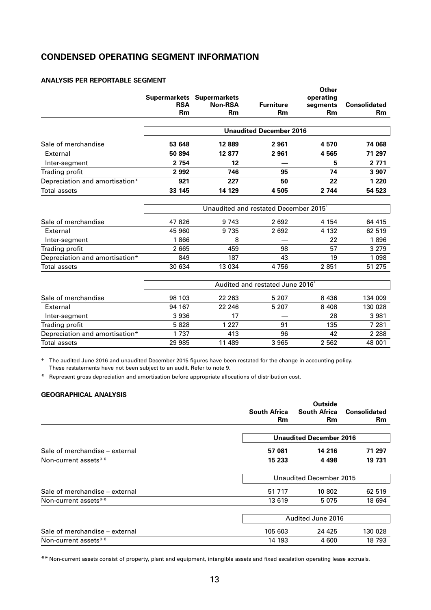## **CONDENSED OPERATING SEGMENT INFORMATION**

#### **ANALYSIS PER REPORTABLE SEGMENT**

|                                |            |                                  |                                                   | Other     |                     |
|--------------------------------|------------|----------------------------------|---------------------------------------------------|-----------|---------------------|
|                                |            | <b>Supermarkets Supermarkets</b> |                                                   | operating |                     |
|                                | <b>RSA</b> | <b>Non-RSA</b>                   | <b>Furniture</b>                                  | segments  | <b>Consolidated</b> |
|                                | <b>Rm</b>  | <b>Rm</b>                        | Rm                                                | <b>Rm</b> | Rm                  |
|                                |            |                                  | <b>Unaudited December 2016</b>                    |           |                     |
| Sale of merchandise            | 53 648     | 12889                            | 2961                                              | 4570      | 74 068              |
| External                       | 50 894     | 12 877                           | 2961                                              | 4565      | 71 297              |
| Inter-segment                  | 2 7 5 4    | 12                               |                                                   | 5         | 2 7 7 1             |
| Trading profit                 | 2 9 9 2    | 746                              | 95                                                | 74        | 3 9 0 7             |
| Depreciation and amortisation* | 921        | 227                              | 50                                                | 22        | 1 2 2 0             |
| Total assets                   | 33 145     | 14 129                           | 4505                                              | 2 7 4 4   | 54 523              |
|                                |            |                                  | Unaudited and restated December 2015 <sup>+</sup> |           |                     |
|                                |            |                                  |                                                   |           |                     |
| Sale of merchandise            | 47 826     | 9 7 4 3                          | 2692                                              | 4 1 5 4   | 64 415              |
| External                       | 45 960     | 9735                             | 2692                                              | 4 1 3 2   | 62 519              |
| Inter-segment                  | 1866       | 8                                |                                                   | 22        | 1896                |
| <b>Trading profit</b>          | 2 6 6 5    | 459                              | 98                                                | 57        | 3 2 7 9             |
| Depreciation and amortisation* | 849        | 187                              | 43                                                | 19        | 1 0 9 8             |
| Total assets                   | 30 634     | 13 0 34                          | 4756                                              | 2851      | 51 275              |
|                                |            |                                  | Audited and restated June 2016 <sup>+</sup>       |           |                     |
| Sale of merchandise            | 98 103     | 22 263                           | 5 207                                             | 8 4 3 6   | 134 009             |
| External                       | 94 167     | 22 246                           | 5 2 0 7                                           | 8 4 0 8   | 130 028             |
| Inter-segment                  | 3 9 3 6    | 17                               |                                                   | 28        | 3 9 8 1             |
| Trading profit                 | 5828       | 1 2 2 7                          | 91                                                | 135       | 7 2 8 1             |
| Depreciation and amortisation* | 1737       | 413                              | 96                                                | 42        | 2 2 8 8             |
| Total assets                   | 29 985     | 11 489                           | 3965                                              | 2 5 6 2   | 48 001              |

+ The audited June 2016 and unaudited December 2015 figures have been restated for the change in accounting policy. These restatements have not been subject to an audit. Refer to note 9.

\* Represent gross depreciation and amortisation before appropriate allocations of distribution cost.

#### **GEOGRAPHICAL ANALYSIS**

|                                |                     | Outside                        |                     |  |
|--------------------------------|---------------------|--------------------------------|---------------------|--|
|                                | <b>South Africa</b> | <b>South Africa</b>            | <b>Consolidated</b> |  |
|                                | <b>Rm</b>           | <b>Rm</b>                      | <b>Rm</b>           |  |
|                                |                     | <b>Unaudited December 2016</b> |                     |  |
| Sale of merchandise - external | 57 081              | 14 216                         | 71 297              |  |
| Non-current assets**           | 15 233              | 4 4 9 8                        | 19 731              |  |
|                                |                     | Unaudited December 2015        |                     |  |
| Sale of merchandise – external | 51 7 1 7            | 10 802                         | 62 519              |  |
| Non-current assets**           | 13 6 19             | 5075                           | 18 694              |  |
|                                |                     | Audited June 2016              |                     |  |
| Sale of merchandise – external | 105 603             | 24 4 25                        | 130 028             |  |
| Non-current assets**           | 14 193              | 4 600                          | 18 793              |  |

\*\* Non-current assets consist of property, plant and equipment, intangible assets and fixed escalation operating lease accruals.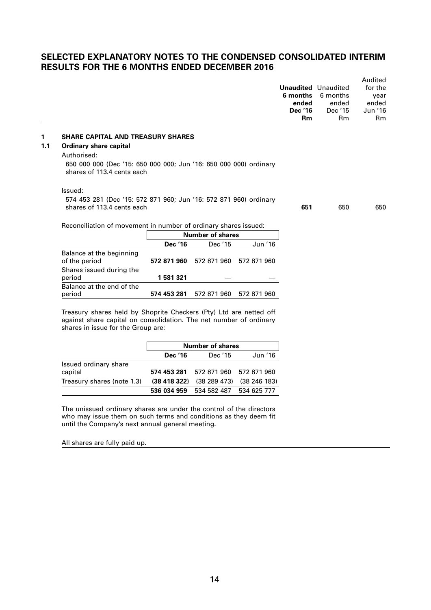## **SELECTED EXPLANATORY NOTES TO THE CONDENSED CONSOLIDATED INTERIM RESULTS FOR THE 6 MONTHS ENDED DECEMBER 2016**

|     |                                                                                                 |             |                         |             | Unaudited Unaudited<br>6 months<br>ended<br>Dec '16<br><b>Rm</b> | 6 months<br>ended<br>Dec '15<br><b>Rm</b> | Audited<br>for the<br>year<br>ended<br>Jun '16<br>R <sub>m</sub> |
|-----|-------------------------------------------------------------------------------------------------|-------------|-------------------------|-------------|------------------------------------------------------------------|-------------------------------------------|------------------------------------------------------------------|
| 1   | <b>SHARE CAPITAL AND TREASURY SHARES</b>                                                        |             |                         |             |                                                                  |                                           |                                                                  |
| 1.1 | Ordinary share capital                                                                          |             |                         |             |                                                                  |                                           |                                                                  |
|     | Authorised:                                                                                     |             |                         |             |                                                                  |                                           |                                                                  |
|     | 650 000 000 (Dec '15: 650 000 000; Jun '16: 650 000 000) ordinary<br>shares of 113.4 cents each |             |                         |             |                                                                  |                                           |                                                                  |
|     | Issued:                                                                                         |             |                         |             |                                                                  |                                           |                                                                  |
|     | 574 453 281 (Dec '15: 572 871 960; Jun '16: 572 871 960) ordinary<br>shares of 113.4 cents each |             |                         |             | 651                                                              | 650                                       | 650                                                              |
|     | Reconciliation of movement in number of ordinary shares issued:                                 |             |                         |             |                                                                  |                                           |                                                                  |
|     |                                                                                                 |             | <b>Number of shares</b> |             |                                                                  |                                           |                                                                  |
|     |                                                                                                 | Dec '16     | Dec '15                 | Jun '16     |                                                                  |                                           |                                                                  |
|     | Balance at the beginning<br>of the period                                                       | 572 871 960 | 572 871 960             | 572 871 960 |                                                                  |                                           |                                                                  |
|     | Shares issued during the<br>period                                                              | 1581321     |                         |             |                                                                  |                                           |                                                                  |
|     | Balance at the end of the                                                                       |             |                         |             |                                                                  |                                           |                                                                  |

Treasury shares held by Shoprite Checkers (Pty) Ltd are netted off against share capital on consolidation. The net number of ordinary shares in issue for the Group are:

period **574 453 281** 572 871 960 572 871 960

|                                  |                | <b>Number of shares</b>                            |             |
|----------------------------------|----------------|----------------------------------------------------|-------------|
|                                  | <b>Dec</b> '16 | Dec '15                                            | Jun '16     |
| Issued ordinary share<br>capital |                | 574 453 281 572 871 960 572 871 960                |             |
| Treasury shares (note 1.3)       |                | $(38, 418, 322)$ $(38, 289, 473)$ $(38, 246, 183)$ |             |
|                                  |                | 536 034 959 534 582 487                            | 534 625 777 |

The unissued ordinary shares are under the control of the directors who may issue them on such terms and conditions as they deem fit until the Company's next annual general meeting.

All shares are fully paid up.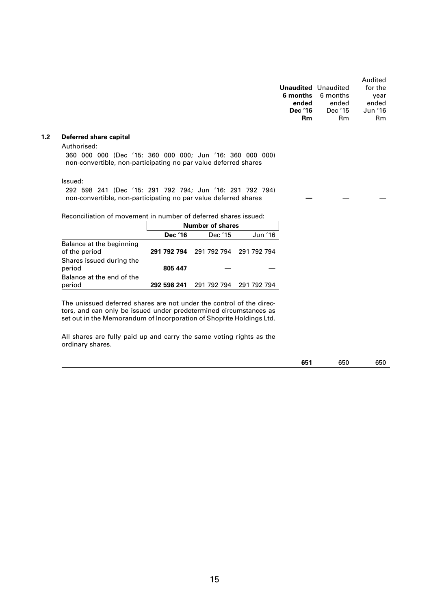|                            |                   | Audited |
|----------------------------|-------------------|---------|
| <b>Unaudited</b> Unaudited |                   | for the |
|                            | 6 months 6 months | year    |
| ended                      | ended             | ended   |
| Dec '16                    | Dec '15           | Jun '16 |
| R <sub>m</sub>             | Rm                | Rm      |

#### **1.2 Deferred share capital**

Authorised:

360 000 000 (Dec '15: 360 000 000; Jun '16: 360 000 000) non-convertible, non-participating no par value deferred shares

Issued:

292 598 241 (Dec '15: 291 792 794; Jun '16: 291 792 794) non-convertible, non-participating no par value deferred shares

Reconciliation of movement in number of deferred shares issued:

|                                           | <b>Number of shares</b> |                                     |         |  |
|-------------------------------------------|-------------------------|-------------------------------------|---------|--|
|                                           | Dec '16                 | Dec '15                             | Jun '16 |  |
| Balance at the beginning<br>of the period |                         | 291 792 794 291 792 794 291 792 794 |         |  |
| Shares issued during the<br>period        | 805 447                 |                                     |         |  |
| Balance at the end of the<br>period       | 292 598 241             | 291 792 794 291 792 794             |         |  |

The unissued deferred shares are not under the control of the directors, and can only be issued under predetermined circumstances as set out in the Memorandum of Incorporation of Shoprite Holdings Ltd.

All shares are fully paid up and carry the same voting rights as the ordinary shares.

| 651 | 650 | 650 |
|-----|-----|-----|
|     |     |     |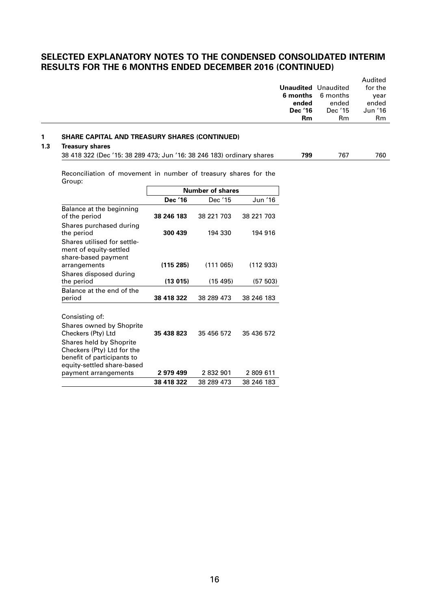## **SELECTED EXPLANATORY NOTES TO THE CONDENSED CONSOLIDATED INTERIM RESULTS FOR THE 6 MONTHS ENDED DECEMBER 2016 (CONTINUED)**

|     |                                                                                                                           |            |                         |            | 6 months<br>ended<br>Dec '16<br><b>Rm</b> | <b>Unaudited</b> Unaudited<br>6 months<br>ended<br>Dec '15<br>R <sub>m</sub> | Audited<br>for the<br>year<br>ended<br>Jun '16<br><b>Rm</b> |
|-----|---------------------------------------------------------------------------------------------------------------------------|------------|-------------------------|------------|-------------------------------------------|------------------------------------------------------------------------------|-------------------------------------------------------------|
| 1   | <b>SHARE CAPITAL AND TREASURY SHARES (CONTINUED)</b>                                                                      |            |                         |            |                                           |                                                                              |                                                             |
| 1.3 | <b>Treasury shares</b>                                                                                                    |            |                         |            |                                           |                                                                              |                                                             |
|     | 38 418 322 (Dec '15: 38 289 473; Jun '16: 38 246 183) ordinary shares                                                     |            |                         |            | 799                                       | 767                                                                          | 760                                                         |
|     | Reconciliation of movement in number of treasury shares for the<br>Group:                                                 |            | <b>Number of shares</b> |            |                                           |                                                                              |                                                             |
|     |                                                                                                                           | Dec '16    | Dec '15                 | Jun '16    |                                           |                                                                              |                                                             |
|     | Balance at the beginning<br>of the period                                                                                 | 38 246 183 | 38 221 703              | 38 221 703 |                                           |                                                                              |                                                             |
|     | Shares purchased during<br>the period                                                                                     | 300 439    | 194 330                 | 194 916    |                                           |                                                                              |                                                             |
|     | Shares utilised for settle-<br>ment of equity-settled<br>share-based payment<br>arrangements                              | (115 285)  | (111065)                | (112933)   |                                           |                                                                              |                                                             |
|     | Shares disposed during<br>the period                                                                                      | (13015)    | (15, 495)               | (57 503)   |                                           |                                                                              |                                                             |
|     | Balance at the end of the<br>period                                                                                       | 38 418 322 | 38 289 473              | 38 246 183 |                                           |                                                                              |                                                             |
|     | Consisting of:<br>Shares owned by Shoprite<br>Checkers (Pty) Ltd<br>Shares held by Shoprite<br>Checkers (Pty) Ltd for the | 35 438 823 | 35 456 572              | 35 436 572 |                                           |                                                                              |                                                             |

**38 418 322** 38 289 473 38 246 183

benefit of participants to equity-settled share-based

payment arrangements **2 979 499** 2 832 901 2 809 611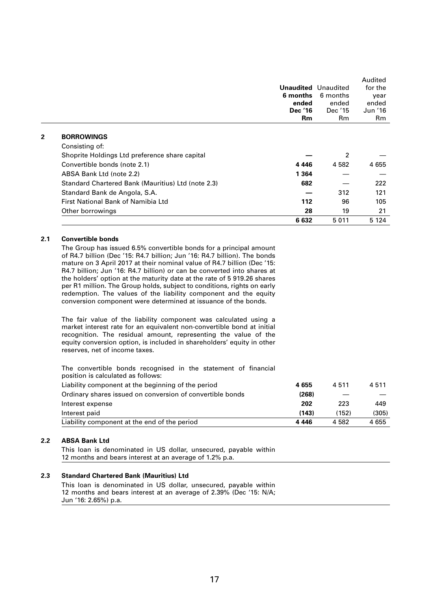|              |                                                    | 6 months<br>ended<br>Dec '16<br>Rm | <b>Unaudited</b> Unaudited<br>6 months<br>ended<br>Dec '15<br>Rm | Audited<br>for the<br>year<br>ended<br>Jun '16<br>Rm |
|--------------|----------------------------------------------------|------------------------------------|------------------------------------------------------------------|------------------------------------------------------|
|              |                                                    |                                    |                                                                  |                                                      |
| $\mathbf{2}$ | <b>BORROWINGS</b>                                  |                                    |                                                                  |                                                      |
|              | Consisting of:                                     |                                    |                                                                  |                                                      |
|              | Shoprite Holdings Ltd preference share capital     |                                    | $\overline{2}$                                                   |                                                      |
|              | Convertible bonds (note 2.1)                       | 4 4 4 6                            | 4 5 8 2                                                          | 4 655                                                |
|              | ABSA Bank Ltd (note 2.2)                           | 1 3 6 4                            |                                                                  |                                                      |
|              | Standard Chartered Bank (Mauritius) Ltd (note 2.3) | 682                                |                                                                  | 222                                                  |
|              | Standard Bank de Angola, S.A.                      |                                    | 312                                                              | 121                                                  |
|              | First National Bank of Namibia Ltd                 | 112                                | 96                                                               | 105                                                  |
|              | Other borrowings                                   | 28                                 | 19                                                               | 21                                                   |
|              |                                                    | 6632                               | 5011                                                             | 5 1 2 4                                              |

#### **2.1 Convertible bonds**

The Group has issued 6.5% convertible bonds for a principal amount of R4.7 billion (Dec '15: R4.7 billion; Jun '16: R4.7 billion). The bonds mature on 3 April 2017 at their nominal value of R4.7 billion (Dec '15: R4.7 billion; Jun '16: R4.7 billion) or can be converted into shares at the holders' option at the maturity date at the rate of 5 919.26 shares per R1 million. The Group holds, subject to conditions, rights on early redemption. The values of the liability component and the equity conversion component were determined at issuance of the bonds.

The fair value of the liability component was calculated using a market interest rate for an equivalent non-convertible bond at initial recognition. The residual amount, representing the value of the equity conversion option, is included in shareholders' equity in other reserves, net of income taxes.

The convertible bonds recognised in the statement of financial position is calculated as follows: Liability component at the beginning of the period **4 655** 4 511 4 511 Ordinary shares issued on conversion of convertible bonds **(268)** — — Interest expense **202** 223 449 Interest paid **(143)** (152) (305) Liability component at the end of the period **4 446** 4 582 4 655

#### **2.2 ABSA Bank Ltd**

This loan is denominated in US dollar, unsecured, payable within 12 months and bears interest at an average of 1.2% p.a.

#### **2.3 Standard Chartered Bank (Mauritius) Ltd**

This loan is denominated in US dollar, unsecured, payable within 12 months and bears interest at an average of 2.39% (Dec '15: N/A; Jun '16: 2.65%) p.a.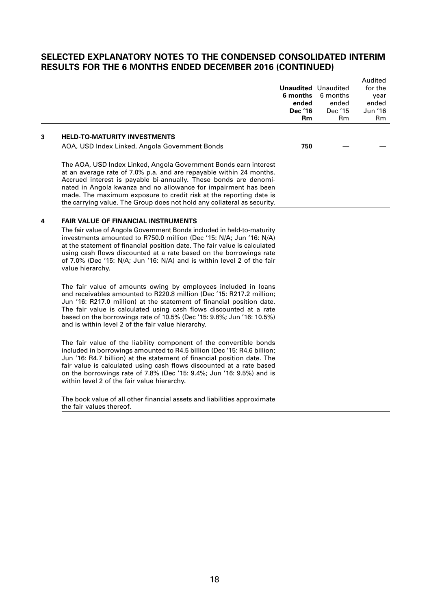## **SELECTED EXPLANATORY NOTES TO THE CONDENSED CONSOLIDATED INTERIM RESULTS FOR THE 6 MONTHS ENDED DECEMBER 2016 (CONTINUED)**

Audited

|   |                                                                                                                                                                                                                                                                                                                                                                                                                                 | 6 months<br>ended<br>Dec '16 | <b>Unaudited</b> Unaudited<br>6 months<br>ended<br>Dec '15 | Auglied<br>for the<br>year<br>ended<br>Jun '16 |
|---|---------------------------------------------------------------------------------------------------------------------------------------------------------------------------------------------------------------------------------------------------------------------------------------------------------------------------------------------------------------------------------------------------------------------------------|------------------------------|------------------------------------------------------------|------------------------------------------------|
|   |                                                                                                                                                                                                                                                                                                                                                                                                                                 | <b>Rm</b>                    | Rm                                                         | Rm                                             |
| 3 | <b>HELD-TO-MATURITY INVESTMENTS</b><br>AOA, USD Index Linked, Angola Government Bonds                                                                                                                                                                                                                                                                                                                                           | 750                          |                                                            |                                                |
|   | The AOA, USD Index Linked, Angola Government Bonds earn interest<br>at an average rate of 7.0% p.a. and are repayable within 24 months.<br>Accrued interest is payable bi-annually. These bonds are denomi-<br>nated in Angola kwanza and no allowance for impairment has been<br>made. The maximum exposure to credit risk at the reporting date is<br>the carrying value. The Group does not hold any collateral as security. |                              |                                                            |                                                |

#### **4 FAIR VALUE OF FINANCIAL INSTRUMENTS**

The fair value of Angola Government Bonds included in held-to-maturity investments amounted to R750.0 million (Dec '15: N/A; Jun '16: N/A) at the statement of financial position date. The fair value is calculated using cash flows discounted at a rate based on the borrowings rate of 7.0% (Dec '15: N/A; Jun '16: N/A) and is within level 2 of the fair value hierarchy.

The fair value of amounts owing by employees included in loans and receivables amounted to R220.8 million (Dec '15: R217.2 million; Jun '16: R217.0 million) at the statement of financial position date. The fair value is calculated using cash flows discounted at a rate based on the borrowings rate of 10.5% (Dec '15: 9.8%; Jun '16: 10.5%) and is within level 2 of the fair value hierarchy.

The fair value of the liability component of the convertible bonds included in borrowings amounted to R4.5 billion (Dec '15: R4.6 billion; Jun '16: R4.7 billion) at the statement of financial position date. The fair value is calculated using cash flows discounted at a rate based on the borrowings rate of 7.8% (Dec '15: 9.4%; Jun '16: 9.5%) and is within level 2 of the fair value hierarchy.

The book value of all other financial assets and liabilities approximate the fair values thereof.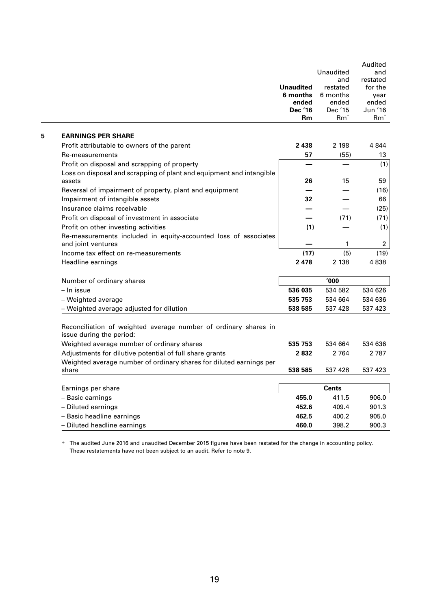|                                                                                             | <b>Unaudited</b><br>6 months<br>ended<br><b>Dec '16</b><br><b>Rm</b> | Unaudited<br>and<br>restated<br>6 months<br>ended<br>Dec '15<br>$Rm^*$ | Audited<br>and<br>restated<br>for the<br>year<br>ended<br>Jun '16<br>$Rm^*$ |
|---------------------------------------------------------------------------------------------|----------------------------------------------------------------------|------------------------------------------------------------------------|-----------------------------------------------------------------------------|
| <b>EARNINGS PER SHARE</b>                                                                   |                                                                      |                                                                        |                                                                             |
| Profit attributable to owners of the parent                                                 | 2 4 3 8                                                              | 2 198                                                                  | 4 8 4 4                                                                     |
| Re-measurements                                                                             | 57                                                                   | (55)                                                                   | 13                                                                          |
| Profit on disposal and scrapping of property                                                |                                                                      |                                                                        | (1)                                                                         |
| Loss on disposal and scrapping of plant and equipment and intangible                        |                                                                      |                                                                        |                                                                             |
| assets                                                                                      | 26                                                                   | 15                                                                     | 59                                                                          |
| Reversal of impairment of property, plant and equipment                                     |                                                                      |                                                                        | (16)                                                                        |
| Impairment of intangible assets                                                             | 32                                                                   |                                                                        | 66                                                                          |
| Insurance claims receivable                                                                 |                                                                      |                                                                        | (25)                                                                        |
| Profit on disposal of investment in associate                                               |                                                                      | (71)                                                                   | (71)                                                                        |
| Profit on other investing activities                                                        | (1)                                                                  |                                                                        | (1)                                                                         |
| Re-measurements included in equity-accounted loss of associates<br>and joint ventures       |                                                                      | 1                                                                      | $\overline{2}$                                                              |
| Income tax effect on re-measurements                                                        | (17)                                                                 | (5)                                                                    | (19)                                                                        |
| Headline earnings                                                                           | 2 4 7 8                                                              | 2 1 3 8                                                                | 4838                                                                        |
|                                                                                             |                                                                      |                                                                        |                                                                             |
| Number of ordinary shares                                                                   |                                                                      | '000                                                                   |                                                                             |
| - In issue                                                                                  | 536 035                                                              | 534 582                                                                | 534 626                                                                     |
| - Weighted average                                                                          | 535 753                                                              | 534 664                                                                | 534 636                                                                     |
| - Weighted average adjusted for dilution                                                    | 538 585                                                              | 537 428                                                                | 537 423                                                                     |
| Reconciliation of weighted average number of ordinary shares in<br>issue during the period: |                                                                      |                                                                        |                                                                             |
| Weighted average number of ordinary shares                                                  | 535 753                                                              | 534 664                                                                | 534 636                                                                     |
| Adjustments for dilutive potential of full share grants                                     | 2832                                                                 | 2 764                                                                  | 2 7 8 7                                                                     |
| Weighted average number of ordinary shares for diluted earnings per<br>share                | 538 585                                                              | 537 428                                                                | 537 423                                                                     |
|                                                                                             |                                                                      |                                                                        |                                                                             |
| Earnings per share                                                                          |                                                                      | <b>Cents</b>                                                           |                                                                             |
| - Basic earnings                                                                            | 455.0                                                                | 411.5                                                                  | 906.0                                                                       |
| - Diluted earnings                                                                          | 452.6                                                                | 409.4                                                                  | 901.3                                                                       |
| - Basic headline earnings                                                                   | 462.5                                                                | 400.2                                                                  | 905.0                                                                       |
| - Diluted headline earnings                                                                 | 460.0                                                                | 398.2                                                                  | 900.3                                                                       |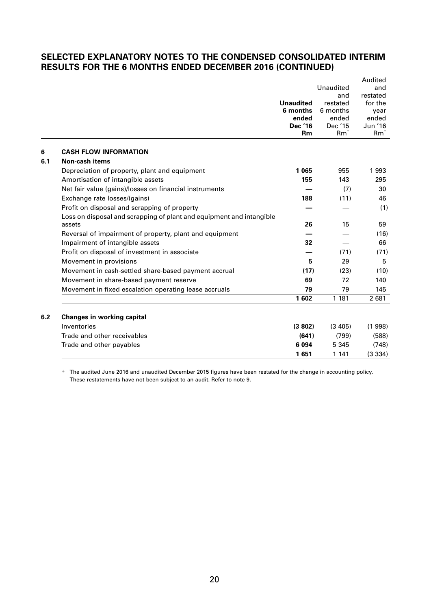## **SELECTED EXPLANATORY NOTES TO THE CONDENSED CONSOLIDATED INTERIM RESULTS FOR THE 6 MONTHS ENDED DECEMBER 2016 (CONTINUED)**

|     |                                                                      |                   |                   | Audited           |
|-----|----------------------------------------------------------------------|-------------------|-------------------|-------------------|
|     |                                                                      |                   | Unaudited         | and               |
|     |                                                                      |                   | and               | restated          |
|     |                                                                      | <b>Unaudited</b>  | restated          | for the           |
|     |                                                                      | 6 months<br>ended | 6 months<br>ended | vear<br>ended     |
|     |                                                                      | <b>Dec '16</b>    | Dec '15           | Jun '16           |
|     |                                                                      | <b>Rm</b>         | $Rm^*$            | $Rm$ <sup>+</sup> |
| 6   | <b>CASH FLOW INFORMATION</b>                                         |                   |                   |                   |
| 6.1 | <b>Non-cash items</b>                                                |                   |                   |                   |
|     | Depreciation of property, plant and equipment                        | 1 0 6 5           | 955               | 1993              |
|     | Amortisation of intangible assets                                    | 155               | 143               | 295               |
|     | Net fair value (gains)/losses on financial instruments               |                   | (7)               | 30                |
|     | Exchange rate losses/(gains)                                         | 188               | (11)              | 46                |
|     | Profit on disposal and scrapping of property                         |                   |                   | (1)               |
|     | Loss on disposal and scrapping of plant and equipment and intangible |                   |                   |                   |
|     | assets                                                               | 26                | 15                | 59                |
|     | Reversal of impairment of property, plant and equipment              |                   |                   | (16)              |
|     | Impairment of intangible assets                                      | 32                |                   | 66                |
|     | Profit on disposal of investment in associate                        |                   | (71)              | (71)              |
|     | Movement in provisions                                               | 5                 | 29                | 5                 |
|     | Movement in cash-settled share-based payment accrual                 | (17)              | (23)              | (10)              |
|     | Movement in share-based payment reserve                              | 69                | 72                | 140               |
|     | Movement in fixed escalation operating lease accruals                | 79                | 79                | 145               |
|     |                                                                      | 1602              | 1 1 8 1           | 2 681             |
| 6.2 | <b>Changes in working capital</b>                                    |                   |                   |                   |
|     | Inventories                                                          | (3802)            | (3, 405)          | (1998)            |
|     | Trade and other receivables                                          | (641)             | (799)             | (588)             |
|     | Trade and other payables                                             | 6 0 94            | 5 3 4 5           | (748)             |
|     |                                                                      | 1651              | 1 1 4 1           | (3334)            |
|     |                                                                      |                   |                   |                   |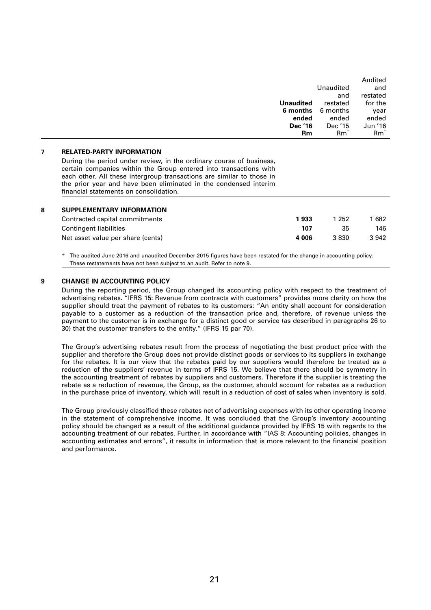| Unaudited<br>and<br>restated<br>and<br>for the<br>Unaudited<br>restated<br>6 months<br>6 months<br>year<br>ended<br>ended<br>ended<br>Dec '15<br>Jun '16<br>Dec '16<br>$Rm^+$<br>$Rm^*$<br>Rm |  | Audited |
|-----------------------------------------------------------------------------------------------------------------------------------------------------------------------------------------------|--|---------|
|                                                                                                                                                                                               |  |         |
|                                                                                                                                                                                               |  |         |
|                                                                                                                                                                                               |  |         |
|                                                                                                                                                                                               |  |         |
|                                                                                                                                                                                               |  |         |
|                                                                                                                                                                                               |  |         |
|                                                                                                                                                                                               |  |         |

#### **7 RELATED-PARTY INFORMATION**

During the period under review, in the ordinary course of business, certain companies within the Group entered into transactions with each other. All these intergroup transactions are similar to those in the prior year and have been eliminated in the condensed interim financial statements on consolidation.

| SUPPLEMENTARY INFORMATION         |         |         |      |
|-----------------------------------|---------|---------|------|
| Contracted capital commitments    | 1933    | 1 252   | 682  |
| Contingent liabilities            | 107     | 35      | 146  |
| Net asset value per share (cents) | 4 0 0 6 | 3 8 3 0 | 3942 |
|                                   |         |         |      |

+ The audited June 2016 and unaudited December 2015 figures have been restated for the change in accounting policy. These restatements have not been subject to an audit. Refer to note 9.

#### **9 CHANGE IN ACCOUNTING POLICY**

During the reporting period, the Group changed its accounting policy with respect to the treatment of advertising rebates. "IFRS 15: Revenue from contracts with customers" provides more clarity on how the supplier should treat the payment of rebates to its customers: "An entity shall account for consideration payable to a customer as a reduction of the transaction price and, therefore, of revenue unless the payment to the customer is in exchange for a distinct good or service (as described in paragraphs 26 to 30) that the customer transfers to the entity." (IFRS 15 par 70).

The Group's advertising rebates result from the process of negotiating the best product price with the supplier and therefore the Group does not provide distinct goods or services to its suppliers in exchange for the rebates. It is our view that the rebates paid by our suppliers would therefore be treated as a reduction of the suppliers' revenue in terms of IFRS 15. We believe that there should be symmetry in the accounting treatment of rebates by suppliers and customers. Therefore if the supplier is treating the rebate as a reduction of revenue, the Group, as the customer, should account for rebates as a reduction in the purchase price of inventory, which will result in a reduction of cost of sales when inventory is sold.

The Group previously classified these rebates net of advertising expenses with its other operating income in the statement of comprehensive income. It was concluded that the Group's inventory accounting policy should be changed as a result of the additional guidance provided by IFRS 15 with regards to the accounting treatment of our rebates. Further, in accordance with "IAS 8: Accounting policies, changes in accounting estimates and errors", it results in information that is more relevant to the financial position and performance.